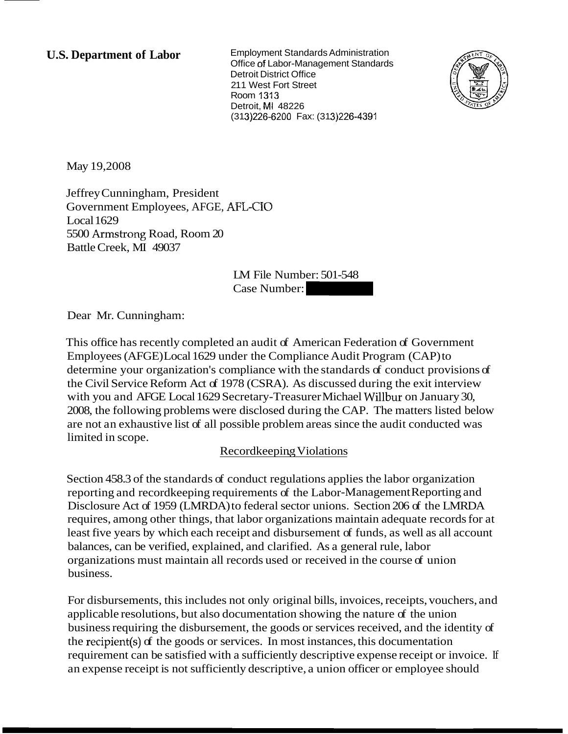**U.S. Department of Labor** Employment Standards Administration Office of Labor-Management Standards Detroit District Office 211 West Fort Street Room 1313 Detroit, MI 48226 (31 31226-6200 Fax: (31 31226-4391 Detroit, MI 48226<br>2001 1919<br>313)226-6200 Fax: (313)226-4391<br>IM File Number: 501-548<br>Case Number:



May 19,2008

Jeffrey Cunningham, President Government Employees, AFGE, **AFE-ZTO**  Local 1629 5500 Armstrong Road, Room 20 Battle Creek, MI 49037

LM File Number: 501-548

Dear Mr. Cunningham:

This office has recently completed an audit of American Federation of Government Employees (AFGE) Local 1629 under the Compliance Audit Program (CAP) to determine your organization's compliance with the standards of conduct provisions of the Civil Service Reform Act of 1978 (CSRA). As discussed during the exit interview with you and AFGE Local 1629 Secretary-Treasurer Michael Willbur on January 30, 2008, the following problems were disclosed during the CAP. The matters listed below are not an exhaustive list of all possible problem areas since the audit conducted was limited in scope.

### Recordkeeping Violations

Section 458.3 of the standards of conduct regulations applies the labor organization reporting and recordkeeping requirements of the Labor-Management Reporting and Disclosure Act of 1959 (LMRDA) to federal sector unions. Section 206 of the LMRDA requires, among other things, that labor organizations maintain adequate records for at least five years by which each receipt and disbursement of funds, as well as all account balances, can be verified, explained, and clarified. As a general rule, labor organizations must maintain all records used or received in the course of union business.

For disbursements, this includes not only original bills, invoices, receipts, vouchers, and applicable resolutions, but also documentation showing the nature of the union business requiring the disbursement, the goods or services received, and the identity of the recipient(s) of the goods or services. In most instances, this documentation requirement can be satisfied with a sufficiently descriptive expense receipt or invoice. If an expense receipt is not sufficiently descriptive, a union officer or employee should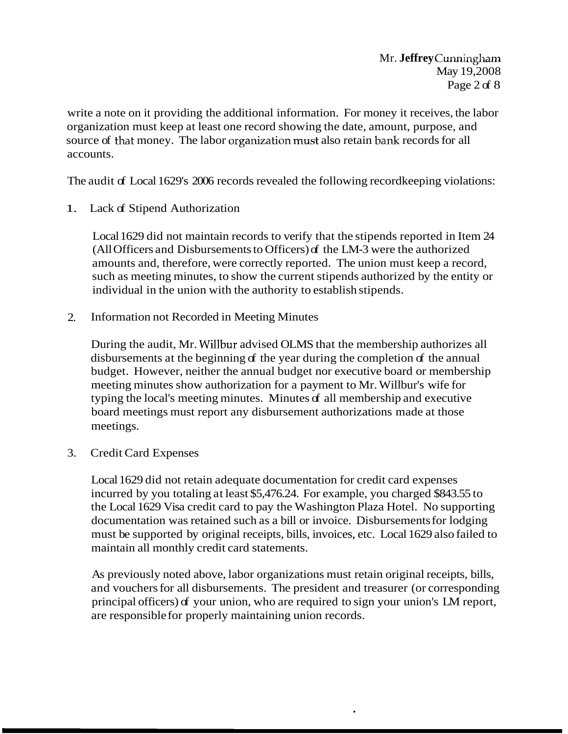write a note on it providing the additional information. For money it receives, the labor organization must keep at least one record showing the date, amount, purpose, and source of that money. The labor organization must also retain bank records for all accounts.

The audit of Local 1629's 2006 records revealed the following record keeping violations:

1. Lack of Stipend Authorization

Local 1629 did not maintain records to verify that the stipends reported in Item 24 (All Officers and Disbursements to Officers) of the LM-3 were the authorized amounts and, therefore, were correctly reported. The union must keep a record, such as meeting minutes, to show the current stipends authorized by the entity or individual in the union with the authority to establish stipends.

2. Information not Recorded in Meeting Minutes

During the audit, Mr. Willbur advised OLMS that the membership authorizes all disbursements at the beginning of the year during the completion of the annual budget. However, neither the annual budget nor executive board or membership meeting minutes show authorization for a payment to Mr. Willbur's wife for typing the local's meeting minutes. Minutes of all membership and executive board meetings must report any disbursement authorizations made at those meetings.

3. Credit Card Expenses

Local 1629 did not retain adequate documentation for credit card expenses incurred by you totaling at least \$5,476.24. For example, you charged \$843.55 to the Local 1629 Visa credit card to pay the Washington Plaza Hotel. No supporting documentation was retained such as a bill or invoice. Disbursements for lodging must be supported by original receipts, bills, invoices, etc. Local 1629 also failed to maintain all monthly credit card statements.

As previously noted above, labor organizations must retain original receipts, bills, and vouchers for all disbursements. The president and treasurer (or corresponding principal officers) of your union, who are required to sign your union's LM report, are responsible for properly maintaining union records.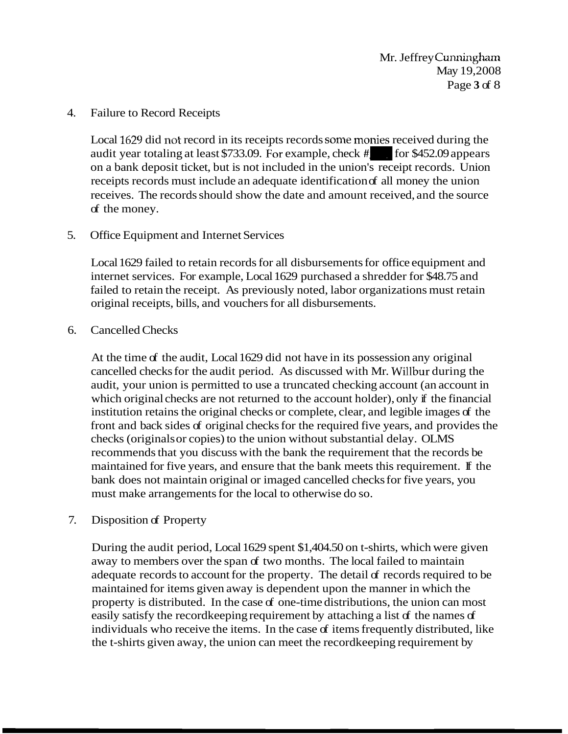#### 4. Failure to Record Receipts

Local 1629 did not record in its receipts records some monies received during the audit year totaling at least \$733.09. For example, check  $\#$  for \$452.09 appears on a bank deposit ticket, but is not included in the union's receipt records. Union receipts records must include an adequate identification of all money the union receives. The records should show the date and amount received, and the source of the money.

### 5. Office Equipment and Internet Services

Local 1629 failed to retain records for all disbursements for office equipment and internet services. For example, Local 1629 purchased a shredder for \$48.75 and failed to retain the receipt. As previously noted, labor organizations must retain original receipts, bills, and vouchers for all disbursements.

#### 6. Cancelled Checks

At the time of the audit, Local 1629 did not have in its possession any original cancelled checks for the audit period. As discussed with Mr. Willbur during the audit, your union is permitted to use a truncated checking account (an account in which original checks are not returned to the account holder), only if the financial institution retains the original checks or complete, clear, and legible images of the front and back sides of original checks for the required five years, and provides the checks (originals or copies) to the union without substantial delay. OLMS recommends that you discuss with the bank the requirement that the records be maintained for five years, and ensure that the bank meets this requirement. If the bank does not maintain original or imaged cancelled checks for five years, you must make arrangements for the local to otherwise do so.

### 7. Disposition of Property

During the audit period, Local 1629 spent \$1,404.50 on t-shirts, which were given away to members over the span of two months. The local failed to maintain adequate records to account for the property. The detail of records required to be maintained for items given away is dependent upon the manner in which the property is distributed. In the case of one-time distributions, the union can most easily satisfy the recordkeeping requirement by attaching a list of the names of individuals who receive the items. In the case of items frequently distributed, like the t-shirts given away, the union can meet the recordkeeping requirement by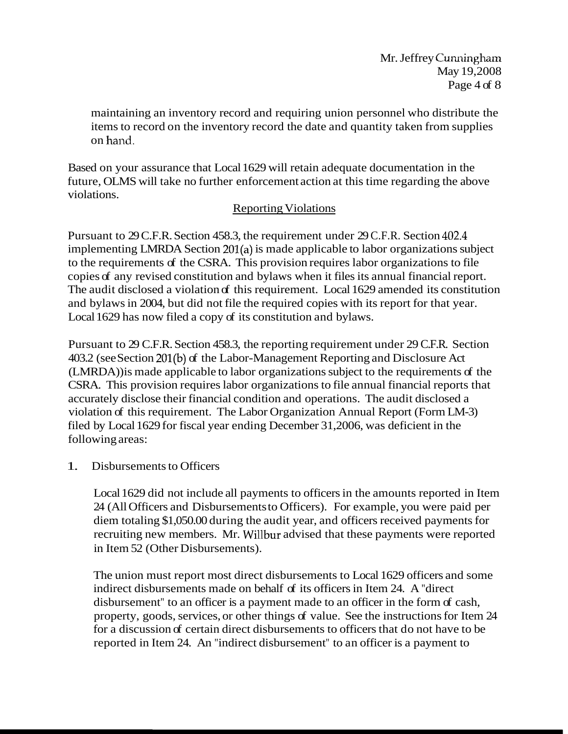maintaining an inventory record and requiring union personnel who distribute the items to record on the inventory record the date and quantity taken from supplies on hand.

Based on your assurance that Local 1629 will retain adequate documentation in the future, OLMS will take no further enforcement action at this time regarding the above violations.

# Reporting Violations

Pursuant to 29 C.F.R. Section 458.3, the requirement under 29 C.F.R. Section 402.4 implementing LMRDA Section 201(a) is made applicable to labor organizations subject to the requirements of the CSRA. This provision requires labor organizations to file copies of any revised constitution and bylaws when it files its annual financial report. The audit disclosed a violation of this requirement. Local 1629 amended its constitution and bylaws in 2004, but did not file the required copies with its report for that year. Local 1629 has now filed a copy of its constitution and bylaws.

Pursuant to 29 C.F.R. Section 458.3, the reporting requirement under 29 C.F.R. Section 403.2 (see Section 201(b) of the Labor-Management Reporting and Disclosure Act (LMRDA)) is made applicable to labor organizations subject to the requirements of the CSRA. This provision requires labor organizations to file annual financial reports that accurately disclose their financial condition and operations. The audit disclosed a violation of this requirement. The Labor Organization Annual Report (Form LM-3) filed by Local 1629 for fiscal year ending December 31,2006, was deficient in the following areas:

# 1. Disbursements to Officers

Local 1629 did not include all payments to officers in the amounts reported in Item 24 (All Officers and Disbursements to Officers). For example, you were paid per diem totaling \$1,050.00 during the audit year, and officers received payments for recruiting new members. Mr. Willbur advised that these payments were reported in Item 52 (Other Disbursements).

The union must report most direct disbursements to Local 1629 officers and some indirect disbursements made on behalf of its officers in Item 24. A "direct disbursement" to an officer is a payment made to an officer in the form of cash, property, goods, services, or other things of value. See the instructions for Item 24 for a discussion of certain direct disbursements to officers that do not have to be reported in Item 24. An "indirect disbursement" to an officer is a payment to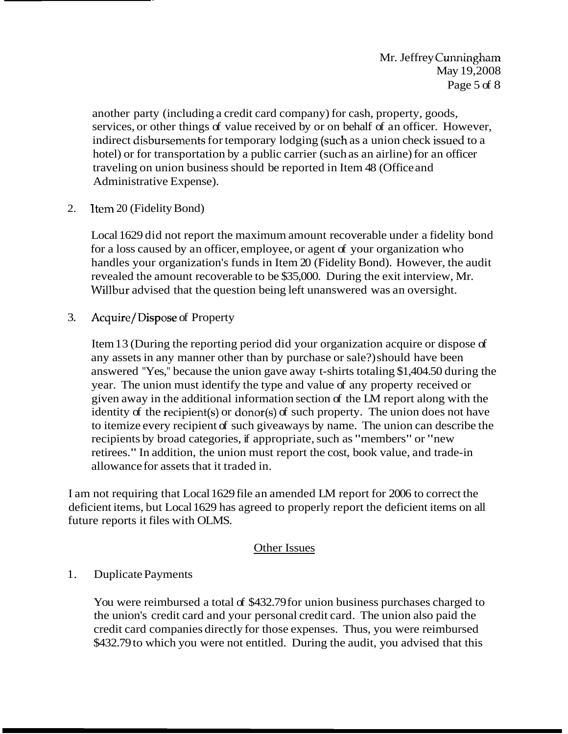another party (including a credit card company) for cash, property, goods, services, or other things of value received by or on behalf of an officer. However, indirect disbursements for temporary lodging (such as a union check issued to a hotel) or for transportation by a public carrier (such as an airline) for an officer traveling on union business should be reported in Item 48 (Office and Administrative Expense).

2. Item 20 (Fidelity Bond)

Local 1629 did not report the maximum amount recoverable under a fidelity bond for a loss caused by an officer, employee, or agent of your organization who handles your organization's funds in Item 20 (Fidelity Bond). However, the audit revealed the amount recoverable to be \$35,000. During the exit interview, Mr. Willbur advised that the question being left unanswered was an oversight.

3. Acquire/Dispose of Property

Item 13 (During the reporting period did your organization acquire or dispose of any assets in any manner other than by purchase or sale?) should have been answered "Yes," because the union gave away t-shirts totaling \$1,404.50 during the year. The union must identify the type and value of any property received or given away in the additional information section of the LM report along with the identity of the recipient(s) or donor(s) of such property. The union does not have to itemize every recipient of such giveaways by name. The union can describe the recipients by broad categories, if appropriate, such as "members" or "new retirees." In addition, the union must report the cost, book value, and trade-in allowance for assets that it traded in.

I am not requiring that Local 1629 file an amended LM report for 2006 to correct the deficient items, but Local 1629 has agreed to properly report the deficient items on all future reports it files with OLMS.

### Other Issues

# 1. Duplicate Payments

You were reimbursed a total of \$432.79 for union business purchases charged to the union's credit card and your personal credit card. The union also paid the credit card companies directly for those expenses. Thus, you were reimbursed \$432.79 to which you were not entitled. During the audit, you advised that this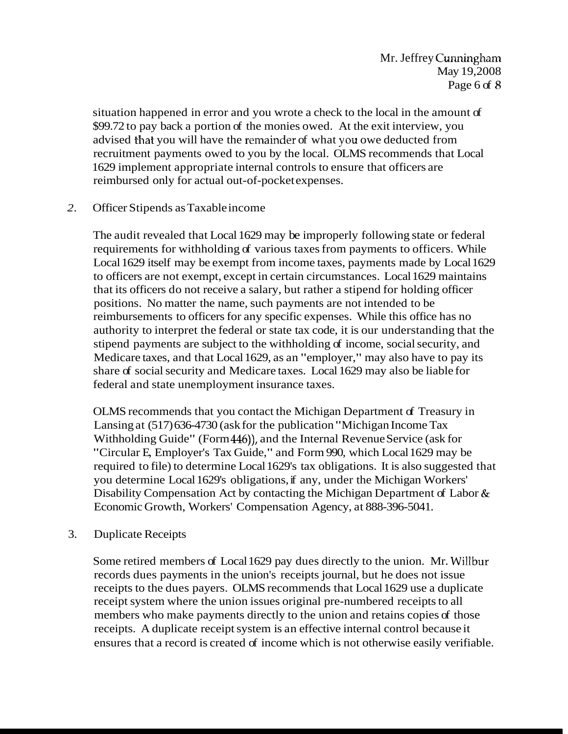situation happened in error and you wrote a check to the local in the amount of \$99.72 to pay back a portion of the monies owed. At the exit interview, you advised that you will have the renainder of what you owe deducted from recruitment payments owed to you by the local. OLMS recommends that Local 1629 implement appropriate internal controls to ensure that officers are reimbursed only for actual out-of-pocket expenses.

#### *2.* Officer Stipends as Taxable income

The audit revealed that Local 1629 may be improperly following state or federal requirements for withholding of various taxes from payments to officers. While Local 1629 itself may be exempt from income taxes, payments made by Local 1629 to officers are not exempt, except in certain circumstances. Local 1629 maintains that its officers do not receive a salary, but rather a stipend for holding officer positions. No matter the name, such payments are not intended to be reimbursements to officers for any specific expenses. While this office has no authority to interpret the federal or state tax code, it is our understanding that the stipend payments are subject to the withholding of income, social security, and Medicare taxes, and that Local 1629, as an "employer," may also have to pay its share of social security and Medicare taxes. Local 1629 may also be liable for federal and state unemployment insurance taxes.

OLMS recommends that you contact the Michigan Department of Treasury in Lansing at (517) 636-4730 (ask for the publication "Michigan Income Tax Withholding Guide" (Form 446)), and the Internal Revenue Service (ask for "Circular E, Employer's Tax Guide," and Form 990, which Local 1629 may be required to file) to determine Local 1629's tax obligations. It is also suggested that you determine Local 1629's obligations, if any, under the Michigan Workers' Disability Compensation Act by contacting the Michigan Department of Labor & Economic Growth, Workers' Compensation Agency, at 888-396-5041.

### 3. Duplicate Receipts

Some retired members of Local 1629 pay dues directly to the union. Mr. Willbur records dues payments in the union's receipts journal, but he does not issue receipts to the dues payers. OLMS recommends that Local 1629 use a duplicate receipt system where the union issues original pre-numbered receipts to all members who make payments directly to the union and retains copies of those receipts. A duplicate receipt system is an effective internal control because it ensures that a record is created of income which is not otherwise easily verifiable.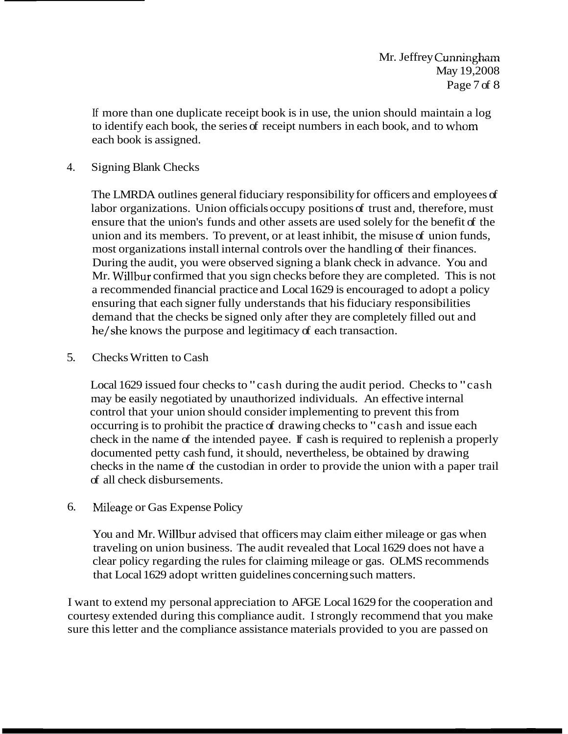If more than one duplicate receipt book is in use, the union should maintain a log to identify each book, the series of receipt numbers in each book, and to whom each book is assigned.

### 4. Signing Blank Checks

The LMRDA outlines general fiduciary responsibility for officers and employees of labor organizations. Union officials occupy positions of trust and, therefore, must ensure that the union's funds and other assets are used solely for the benefit of the union and its members. To prevent, or at least inhibit, the misuse of union funds, most organizations install internal controls over the handling of their finances. During the audit, you were observed signing a blank check in advance. You and Mr. Willbur confirmed that you sign checks before they are completed. This is not a recommended financial practice and Local 1629 is encouraged to adopt a policy ensuring that each signer fully understands that his fiduciary responsibilities demand that the checks be signed only after they are completely filled out and he/she knows the purpose and legitimacy of each transaction.

### 5. Checks Written to Cash

Local 1629 issued four checks to "cash during the audit period. Checks to "cash may be easily negotiated by unauthorized individuals. An effective internal control that your union should consider implementing to prevent this from occurring is to prohibit the practice of drawing checks to "cash and issue each check in the name of the intended payee. If cash is required to replenish a properly documented petty cash fund, it should, nevertheless, be obtained by drawing checks in the name of the custodian in order to provide the union with a paper trail of all check disbursements.

# 6. Mileage or Gas Expense Policy

You and Mr. Willbur advised that officers may claim either mileage or gas when traveling on union business. The audit revealed that Local 1629 does not have a clear policy regarding the rules for claiming mileage or gas. OLMS recommends that Local 1629 adopt written guidelines concerning such matters.

I want to extend my personal appreciation to AFGE Local 1629 for the cooperation and courtesy extended during this compliance audit. I strongly recommend that you make sure this letter and the compliance assistance materials provided to you are passed on